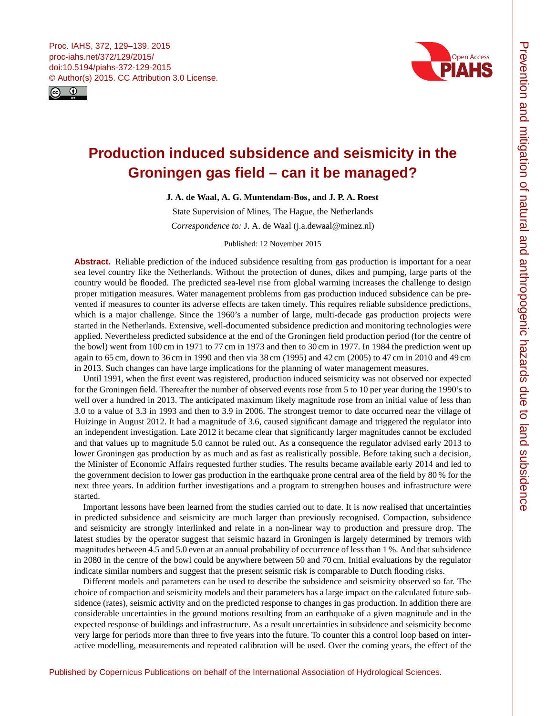<span id="page-0-0"></span>



# **Production induced subsidence and seismicity in the Groningen gas field – can it be managed?**

**J. A. de Waal, A. G. Muntendam-Bos, and J. P. A. Roest**

State Supervision of Mines, The Hague, the Netherlands *Correspondence to:* J. A. de Waal (j.a.dewaal@minez.nl)

Published: 12 November 2015

**Abstract.** Reliable prediction of the induced subsidence resulting from gas production is important for a near sea level country like the Netherlands. Without the protection of dunes, dikes and pumping, large parts of the country would be flooded. The predicted sea-level rise from global warming increases the challenge to design proper mitigation measures. Water management problems from gas production induced subsidence can be prevented if measures to counter its adverse effects are taken timely. This requires reliable subsidence predictions, which is a major challenge. Since the 1960's a number of large, multi-decade gas production projects were started in the Netherlands. Extensive, well-documented subsidence prediction and monitoring technologies were applied. Nevertheless predicted subsidence at the end of the Groningen field production period (for the centre of the bowl) went from 100 cm in 1971 to 77 cm in 1973 and then to 30 cm in 1977. In 1984 the prediction went up again to 65 cm, down to 36 cm in 1990 and then via 38 cm (1995) and 42 cm (2005) to 47 cm in 2010 and 49 cm in 2013. Such changes can have large implications for the planning of water management measures.

Until 1991, when the first event was registered, production induced seismicity was not observed nor expected for the Groningen field. Thereafter the number of observed events rose from 5 to 10 per year during the 1990's to well over a hundred in 2013. The anticipated maximum likely magnitude rose from an initial value of less than 3.0 to a value of 3.3 in 1993 and then to 3.9 in 2006. The strongest tremor to date occurred near the village of Huizinge in August 2012. It had a magnitude of 3.6, caused significant damage and triggered the regulator into an independent investigation. Late 2012 it became clear that significantly larger magnitudes cannot be excluded and that values up to magnitude 5.0 cannot be ruled out. As a consequence the regulator advised early 2013 to lower Groningen gas production by as much and as fast as realistically possible. Before taking such a decision, the Minister of Economic Affairs requested further studies. The results became available early 2014 and led to the government decision to lower gas production in the earthquake prone central area of the field by 80 % for the next three years. In addition further investigations and a program to strengthen houses and infrastructure were started.

Important lessons have been learned from the studies carried out to date. It is now realised that uncertainties in predicted subsidence and seismicity are much larger than previously recognised. Compaction, subsidence and seismicity are strongly interlinked and relate in a non-linear way to production and pressure drop. The latest studies by the operator suggest that seismic hazard in Groningen is largely determined by tremors with magnitudes between 4.5 and 5.0 even at an annual probability of occurrence of less than 1 %. And that subsidence in 2080 in the centre of the bowl could be anywhere between 50 and 70 cm. Initial evaluations by the regulator indicate similar numbers and suggest that the present seismic risk is comparable to Dutch flooding risks.

Different models and parameters can be used to describe the subsidence and seismicity observed so far. The choice of compaction and seismicity models and their parameters has a large impact on the calculated future subsidence (rates), seismic activity and on the predicted response to changes in gas production. In addition there are considerable uncertainties in the ground motions resulting from an earthquake of a given magnitude and in the expected response of buildings and infrastructure. As a result uncertainties in subsidence and seismicity become very large for periods more than three to five years into the future. To counter this a control loop based on interactive modelling, measurements and repeated calibration will be used. Over the coming years, the effect of the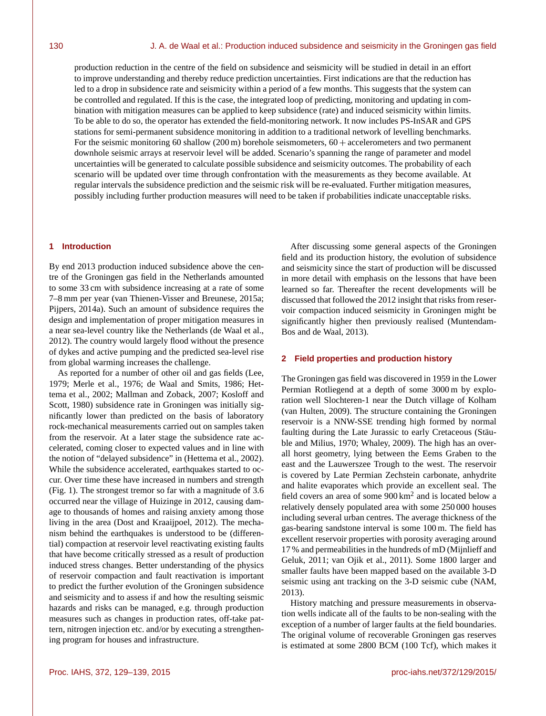production reduction in the centre of the field on subsidence and seismicity will be studied in detail in an effort to improve understanding and thereby reduce prediction uncertainties. First indications are that the reduction has led to a drop in subsidence rate and seismicity within a period of a few months. This suggests that the system can be controlled and regulated. If this is the case, the integrated loop of predicting, monitoring and updating in combination with mitigation measures can be applied to keep subsidence (rate) and induced seismicity within limits. To be able to do so, the operator has extended the field-monitoring network. It now includes PS-InSAR and GPS stations for semi-permanent subsidence monitoring in addition to a traditional network of levelling benchmarks. For the seismic monitoring 60 shallow (200 m) borehole seismometers, 60 + accelerometers and two permanent downhole seismic arrays at reservoir level will be added. Scenario's spanning the range of parameter and model uncertainties will be generated to calculate possible subsidence and seismicity outcomes. The probability of each scenario will be updated over time through confrontation with the measurements as they become available. At regular intervals the subsidence prediction and the seismic risk will be re-evaluated. Further mitigation measures, possibly including further production measures will need to be taken if probabilities indicate unacceptable risks.

# **1 Introduction**

By end 2013 production induced subsidence above the centre of the Groningen gas field in the Netherlands amounted to some 33 cm with subsidence increasing at a rate of some 7–8 mm per year (van Thienen-Visser and Breunese, 2015a; Pijpers, 2014a). Such an amount of subsidence requires the design and implementation of proper mitigation measures in a near sea-level country like the Netherlands (de Waal et al., 2012). The country would largely flood without the presence of dykes and active pumping and the predicted sea-level rise from global warming increases the challenge.

As reported for a number of other oil and gas fields (Lee, 1979; Merle et al., 1976; de Waal and Smits, 1986; Hettema et al., 2002; Mallman and Zoback, 2007; Kosloff and Scott, 1980) subsidence rate in Groningen was initially significantly lower than predicted on the basis of laboratory rock-mechanical measurements carried out on samples taken from the reservoir. At a later stage the subsidence rate accelerated, coming closer to expected values and in line with the notion of "delayed subsidence" in (Hettema et al., 2002). While the subsidence accelerated, earthquakes started to occur. Over time these have increased in numbers and strength (Fig. 1). The strongest tremor so far with a magnitude of 3.6 occurred near the village of Huizinge in 2012, causing damage to thousands of homes and raising anxiety among those living in the area (Dost and Kraaijpoel, 2012). The mechanism behind the earthquakes is understood to be (differential) compaction at reservoir level reactivating existing faults that have become critically stressed as a result of production induced stress changes. Better understanding of the physics of reservoir compaction and fault reactivation is important to predict the further evolution of the Groningen subsidence and seismicity and to assess if and how the resulting seismic hazards and risks can be managed, e.g. through production measures such as changes in production rates, off-take pattern, nitrogen injection etc. and/or by executing a strengthening program for houses and infrastructure.

After discussing some general aspects of the Groningen field and its production history, the evolution of subsidence and seismicity since the start of production will be discussed in more detail with emphasis on the lessons that have been learned so far. Thereafter the recent developments will be discussed that followed the 2012 insight that risks from reservoir compaction induced seismicity in Groningen might be significantly higher then previously realised (Muntendam-Bos and de Waal, 2013).

## **2 Field properties and production history**

The Groningen gas field was discovered in 1959 in the Lower Permian Rotliegend at a depth of some 3000 m by exploration well Slochteren-1 near the Dutch village of Kolham (van Hulten, 2009). The structure containing the Groningen reservoir is a NNW-SSE trending high formed by normal faulting during the Late Jurassic to early Cretaceous (Stäuble and Milius, 1970; Whaley, 2009). The high has an overall horst geometry, lying between the Eems Graben to the east and the Lauwerszee Trough to the west. The reservoir is covered by Late Permian Zechstein carbonate, anhydrite and halite evaporates which provide an excellent seal. The field covers an area of some  $900 \text{ km}^2$  and is located below a relatively densely populated area with some 250 000 houses including several urban centres. The average thickness of the gas-bearing sandstone interval is some 100 m. The field has excellent reservoir properties with porosity averaging around 17 % and permeabilities in the hundreds of mD (Mijnlieff and Geluk, 2011; van Ojik et al., 2011). Some 1800 larger and smaller faults have been mapped based on the available 3-D seismic using ant tracking on the 3-D seismic cube (NAM, 2013).

History matching and pressure measurements in observation wells indicate all of the faults to be non-sealing with the exception of a number of larger faults at the field boundaries. The original volume of recoverable Groningen gas reserves is estimated at some 2800 BCM (100 Tcf), which makes it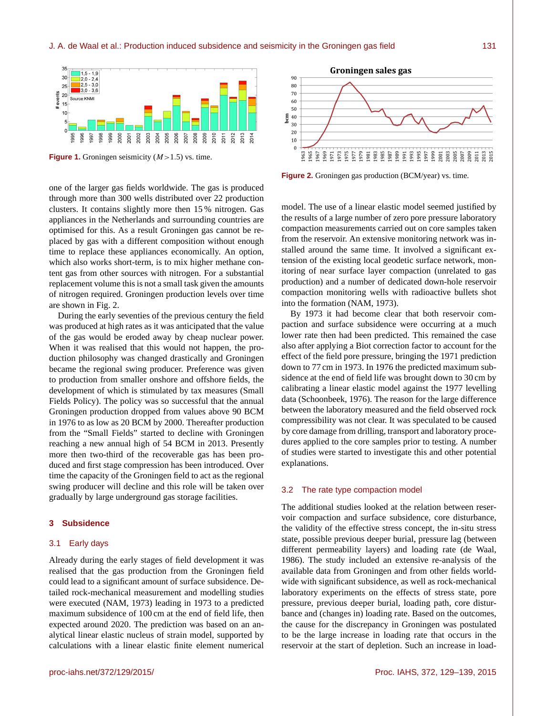

**Figure 1.** Groningen seismicity  $(M>1.5)$  vs. time.

one of the larger gas fields worldwide. The gas is produced through more than 300 wells distributed over 22 production clusters. It contains slightly more then 15 % nitrogen. Gas appliances in the Netherlands and surrounding countries are optimised for this. As a result Groningen gas cannot be replaced by gas with a different composition without enough time to replace these appliances economically. An option, which also works short-term, is to mix higher methane content gas from other sources with nitrogen. For a substantial replacement volume this is not a small task given the amounts of nitrogen required. Groningen production levels over time are shown in Fig. 2.

During the early seventies of the previous century the field was produced at high rates as it was anticipated that the value of the gas would be eroded away by cheap nuclear power. When it was realised that this would not happen, the production philosophy was changed drastically and Groningen became the regional swing producer. Preference was given to production from smaller onshore and offshore fields, the development of which is stimulated by tax measures (Small Fields Policy). The policy was so successful that the annual Groningen production dropped from values above 90 BCM in 1976 to as low as 20 BCM by 2000. Thereafter production from the "Small Fields" started to decline with Groningen reaching a new annual high of 54 BCM in 2013. Presently more then two-third of the recoverable gas has been produced and first stage compression has been introduced. Over time the capacity of the Groningen field to act as the regional swing producer will decline and this role will be taken over gradually by large underground gas storage facilities.

#### **3 Subsidence**

# 3.1 Early days

Already during the early stages of field development it was realised that the gas production from the Groningen field could lead to a significant amount of surface subsidence. Detailed rock-mechanical measurement and modelling studies were executed (NAM, 1973) leading in 1973 to a predicted maximum subsidence of 100 cm at the end of field life, then expected around 2020. The prediction was based on an analytical linear elastic nucleus of strain model, supported by calculations with a linear elastic finite element numerical



**Figure 2.** Groningen gas production (BCM/year) vs. time.

model. The use of a linear elastic model seemed justified by the results of a large number of zero pore pressure laboratory compaction measurements carried out on core samples taken from the reservoir. An extensive monitoring network was installed around the same time. It involved a significant extension of the existing local geodetic surface network, monitoring of near surface layer compaction (unrelated to gas production) and a number of dedicated down-hole reservoir compaction monitoring wells with radioactive bullets shot into the formation (NAM, 1973).

By 1973 it had become clear that both reservoir compaction and surface subsidence were occurring at a much lower rate then had been predicted. This remained the case also after applying a Biot correction factor to account for the effect of the field pore pressure, bringing the 1971 prediction down to 77 cm in 1973. In 1976 the predicted maximum subsidence at the end of field life was brought down to 30 cm by calibrating a linear elastic model against the 1977 levelling data (Schoonbeek, 1976). The reason for the large difference between the laboratory measured and the field observed rock compressibility was not clear. It was speculated to be caused by core damage from drilling, transport and laboratory procedures applied to the core samples prior to testing. A number of studies were started to investigate this and other potential explanations.

#### 3.2 The rate type compaction model

The additional studies looked at the relation between reservoir compaction and surface subsidence, core disturbance, the validity of the effective stress concept, the in-situ stress state, possible previous deeper burial, pressure lag (between different permeability layers) and loading rate (de Waal, 1986). The study included an extensive re-analysis of the available data from Groningen and from other fields worldwide with significant subsidence, as well as rock-mechanical laboratory experiments on the effects of stress state, pore pressure, previous deeper burial, loading path, core disturbance and (changes in) loading rate. Based on the outcomes, the cause for the discrepancy in Groningen was postulated to be the large increase in loading rate that occurs in the reservoir at the start of depletion. Such an increase in load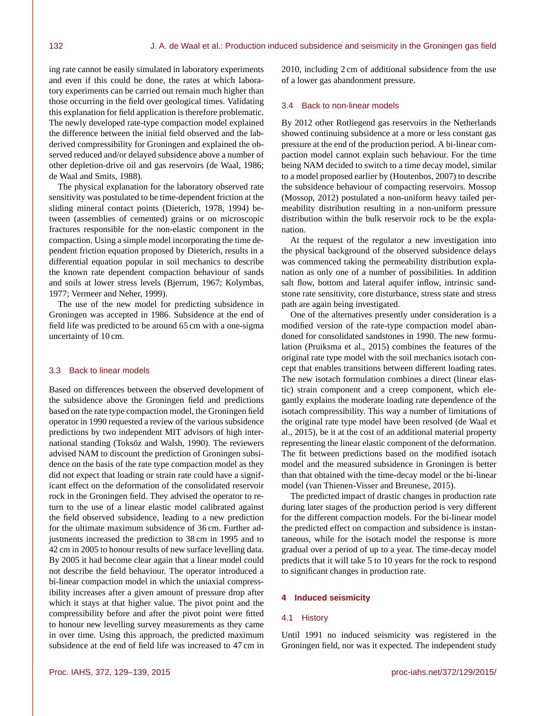ing rate cannot be easily simulated in laboratory experiments and even if this could be done, the rates at which laboratory experiments can be carried out remain much higher than those occurring in the field over geological times. Validating this explanation for field application is therefore problematic. The newly developed rate-type compaction model explained the difference between the initial field observed and the labderived compressibility for Groningen and explained the observed reduced and/or delayed subsidence above a number of other depletion-drive oil and gas reservoirs (de Waal, 1986; de Waal and Smits, 1988).

The physical explanation for the laboratory observed rate sensitivity was postulated to be time-dependent friction at the sliding mineral contact points (Dieterich, 1978, 1994) between (assemblies of cemented) grains or on microscopic fractures responsible for the non-elastic component in the compaction. Using a simple model incorporating the time dependent friction equation proposed by Dieterich, results in a differential equation popular in soil mechanics to describe the known rate dependent compaction behaviour of sands and soils at lower stress levels (Bjerrum, 1967; Kolymbas, 1977; Vermeer and Neher, 1999).

The use of the new model for predicting subsidence in Groningen was accepted in 1986. Subsidence at the end of field life was predicted to be around 65 cm with a one-sigma uncertainty of 10 cm.

# 3.3 Back to linear models

Based on differences between the observed development of the subsidence above the Groningen field and predictions based on the rate type compaction model, the Groningen field operator in 1990 requested a review of the various subsidence predictions by two independent MIT advisors of high international standing (Toksöz and Walsh, 1990). The reviewers advised NAM to discount the prediction of Groningen subsidence on the basis of the rate type compaction model as they did not expect that loading or strain rate could have a significant effect on the deformation of the consolidated reservoir rock in the Groningen field. They advised the operator to return to the use of a linear elastic model calibrated against the field observed subsidence, leading to a new prediction for the ultimate maximum subsidence of 36 cm. Further adjustments increased the prediction to 38 cm in 1995 and to 42 cm in 2005 to honour results of new surface levelling data. By 2005 it had become clear again that a linear model could not describe the field behaviour. The operator introduced a bi-linear compaction model in which the uniaxial compressibility increases after a given amount of pressure drop after which it stays at that higher value. The pivot point and the compressibility before and after the pivot point were fitted to honour new levelling survey measurements as they came in over time. Using this approach, the predicted maximum subsidence at the end of field life was increased to 47 cm in

2010, including 2 cm of additional subsidence from the use of a lower gas abandonment pressure.

## 3.4 Back to non-linear models

By 2012 other Rotliegend gas reservoirs in the Netherlands showed continuing subsidence at a more or less constant gas pressure at the end of the production period. A bi-linear compaction model cannot explain such behaviour. For the time being NAM decided to switch to a time decay model, similar to a model proposed earlier by (Houtenbos, 2007) to describe the subsidence behaviour of compacting reservoirs. Mossop (Mossop, 2012) postulated a non-uniform heavy tailed permeability distribution resulting in a non-uniform pressure distribution within the bulk reservoir rock to be the explanation.

At the request of the regulator a new investigation into the physical background of the observed subsidence delays was commenced taking the permeability distribution explanation as only one of a number of possibilities. In addition salt flow, bottom and lateral aquifer inflow, intrinsic sandstone rate sensitivity, core disturbance, stress state and stress path are again being investigated.

One of the alternatives presently under consideration is a modified version of the rate-type compaction model abandoned for consolidated sandstones in 1990. The new formulation (Pruiksma et al., 2015) combines the features of the original rate type model with the soil mechanics isotach concept that enables transitions between different loading rates. The new isotach formulation combines a direct (linear elastic) strain component and a creep component, which elegantly explains the moderate loading rate dependence of the isotach compressibility. This way a number of limitations of the original rate type model have been resolved (de Waal et al., 2015), be it at the cost of an additional material property representing the linear elastic component of the deformation. The fit between predictions based on the modified isotach model and the measured subsidence in Groningen is better than that obtained with the time-decay model or the bi-linear model (van Thienen-Visser and Breunese, 2015).

The predicted impact of drastic changes in production rate during later stages of the production period is very different for the different compaction models. For the bi-linear model the predicted effect on compaction and subsidence is instantaneous, while for the isotach model the response is more gradual over a period of up to a year. The time-decay model predicts that it will take 5 to 10 years for the rock to respond to significant changes in production rate.

## **4 Induced seismicity**

# 4.1 History

Until 1991 no induced seismicity was registered in the Groningen field, nor was it expected. The independent study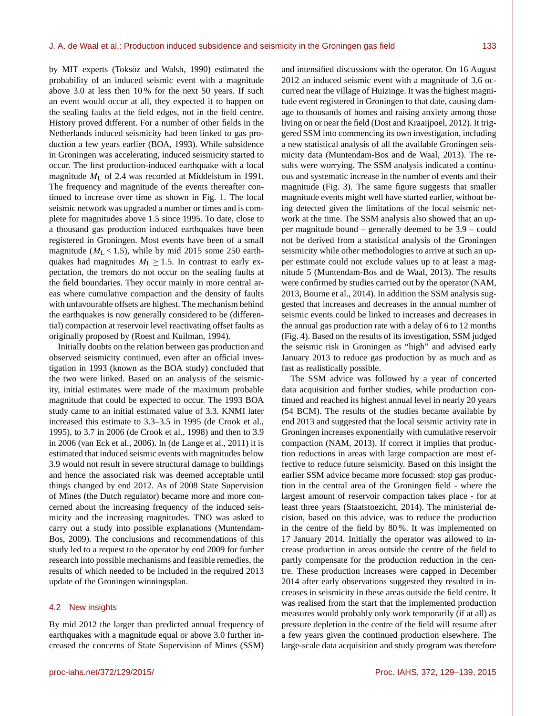by MIT experts (Toksöz and Walsh, 1990) estimated the probability of an induced seismic event with a magnitude above 3.0 at less then 10 % for the next 50 years. If such an event would occur at all, they expected it to happen on the sealing faults at the field edges, not in the field centre. History proved different. For a number of other fields in the Netherlands induced seismicity had been linked to gas production a few years earlier (BOA, 1993). While subsidence in Groningen was accelerating, induced seismicity started to occur. The first production-induced earthquake with a local magnitude M<sup>L</sup> of 2.4 was recorded at Middelstum in 1991. The frequency and magnitude of the events thereafter continued to increase over time as shown in Fig. 1. The local seismic network was upgraded a number or times and is complete for magnitudes above 1.5 since 1995. To date, close to a thousand gas production induced earthquakes have been registered in Groningen. Most events have been of a small magnitude ( $M<sub>L</sub> < 1.5$ ), while by mid 2015 some 250 earthquakes had magnitudes  $M<sub>L</sub> \ge 1.5$ . In contrast to early expectation, the tremors do not occur on the sealing faults at the field boundaries. They occur mainly in more central areas where cumulative compaction and the density of faults with unfavourable offsets are highest. The mechanism behind the earthquakes is now generally considered to be (differential) compaction at reservoir level reactivating offset faults as originally proposed by (Roest and Kuilman, 1994).

Initially doubts on the relation between gas production and observed seismicity continued, even after an official investigation in 1993 (known as the BOA study) concluded that the two were linked. Based on an analysis of the seismicity, initial estimates were made of the maximum probable magnitude that could be expected to occur. The 1993 BOA study came to an initial estimated value of 3.3. KNMI later increased this estimate to 3.3–3.5 in 1995 (de Crook et al., 1995), to 3.7 in 2006 (de Crook et al., 1998) and then to 3.9 in 2006 (van Eck et al., 2006). In (de Lange et al., 2011) it is estimated that induced seismic events with magnitudes below 3.9 would not result in severe structural damage to buildings and hence the associated risk was deemed acceptable until things changed by end 2012. As of 2008 State Supervision of Mines (the Dutch regulator) became more and more concerned about the increasing frequency of the induced seismicity and the increasing magnitudes. TNO was asked to carry out a study into possible explanations (Muntendam-Bos, 2009). The conclusions and recommendations of this study led to a request to the operator by end 2009 for further research into possible mechanisms and feasible remedies, the results of which needed to be included in the required 2013 update of the Groningen winningsplan.

#### 4.2 New insights

By mid 2012 the larger than predicted annual frequency of earthquakes with a magnitude equal or above 3.0 further increased the concerns of State Supervision of Mines (SSM)

and intensified discussions with the operator. On 16 August 2012 an induced seismic event with a magnitude of 3.6 occurred near the village of Huizinge. It was the highest magnitude event registered in Groningen to that date, causing damage to thousands of homes and raising anxiety among those living on or near the field (Dost and Kraaijpoel, 2012). It triggered SSM into commencing its own investigation, including a new statistical analysis of all the available Groningen seismicity data (Muntendam-Bos and de Waal, 2013). The results were worrying. The SSM analysis indicated a continuous and systematic increase in the number of events and their magnitude (Fig. 3). The same figure suggests that smaller magnitude events might well have started earlier, without being detected given the limitations of the local seismic network at the time. The SSM analysis also showed that an upper magnitude bound – generally deemed to be 3.9 – could not be derived from a statistical analysis of the Groningen seismicity while other methodologies to arrive at such an upper estimate could not exclude values up to at least a magnitude 5 (Muntendam-Bos and de Waal, 2013). The results were confirmed by studies carried out by the operator (NAM, 2013, Bourne et al., 2014). In addition the SSM analysis suggested that increases and decreases in the annual number of seismic events could be linked to increases and decreases in the annual gas production rate with a delay of 6 to 12 months (Fig. 4). Based on the results of its investigation, SSM judged the seismic risk in Groningen as "high" and advised early January 2013 to reduce gas production by as much and as fast as realistically possible.

The SSM advice was followed by a year of concerted data acquisition and further studies, while production continued and reached its highest annual level in nearly 20 years (54 BCM). The results of the studies became available by end 2013 and suggested that the local seismic activity rate in Groningen increases exponentially with cumulative reservoir compaction (NAM, 2013). If correct it implies that production reductions in areas with large compaction are most effective to reduce future seismicity. Based on this insight the earlier SSM advice became more focussed: stop gas production in the central area of the Groningen field - where the largest amount of reservoir compaction takes place - for at least three years (Staatstoezicht, 2014). The ministerial decision, based on this advice, was to reduce the production in the centre of the field by 80 %. It was implemented on 17 January 2014. Initially the operator was allowed to increase production in areas outside the centre of the field to partly compensate for the production reduction in the centre. These production increases were capped in December 2014 after early observations suggested they resulted in increases in seismicity in these areas outside the field centre. It was realised from the start that the implemented production measures would probably only work temporarily (if at all) as pressure depletion in the centre of the field will resume after a few years given the continued production elsewhere. The large-scale data acquisition and study program was therefore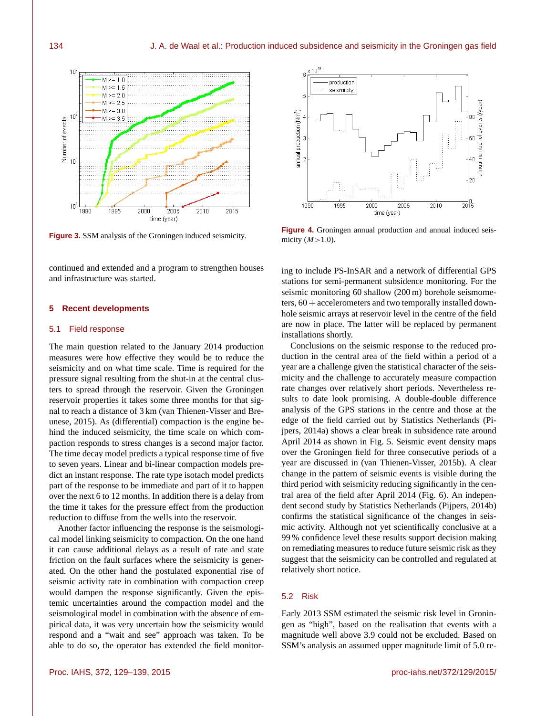

**Figure 3.** SSM analysis of the Groningen induced seismicity.

continued and extended and a program to strengthen houses and infrastructure was started.

## **5 Recent developments**

#### 5.1 Field response

The main question related to the January 2014 production measures were how effective they would be to reduce the seismicity and on what time scale. Time is required for the pressure signal resulting from the shut-in at the central clusters to spread through the reservoir. Given the Groningen reservoir properties it takes some three months for that signal to reach a distance of 3 km (van Thienen-Visser and Breunese, 2015). As (differential) compaction is the engine behind the induced seismicity, the time scale on which compaction responds to stress changes is a second major factor. The time decay model predicts a typical response time of five to seven years. Linear and bi-linear compaction models predict an instant response. The rate type isotach model predicts part of the response to be immediate and part of it to happen over the next 6 to 12 months. In addition there is a delay from the time it takes for the pressure effect from the production reduction to diffuse from the wells into the reservoir.

Another factor influencing the response is the seismological model linking seismicity to compaction. On the one hand it can cause additional delays as a result of rate and state friction on the fault surfaces where the seismicity is generated. On the other hand the postulated exponential rise of seismic activity rate in combination with compaction creep would dampen the response significantly. Given the epistemic uncertainties around the compaction model and the seismological model in combination with the absence of empirical data, it was very uncertain how the seismicity would respond and a "wait and see" approach was taken. To be able to do so, the operator has extended the field monitor-



**Figure 4.** Groningen annual production and annual induced seismicity  $(M>1.0)$ .

ing to include PS-InSAR and a network of differential GPS stations for semi-permanent subsidence monitoring. For the seismic monitoring 60 shallow (200 m) borehole seismometers,  $60 +$  accelerometers and two temporally installed downhole seismic arrays at reservoir level in the centre of the field are now in place. The latter will be replaced by permanent installations shortly.

Conclusions on the seismic response to the reduced production in the central area of the field within a period of a year are a challenge given the statistical character of the seismicity and the challenge to accurately measure compaction rate changes over relatively short periods. Nevertheless results to date look promising. A double-double difference analysis of the GPS stations in the centre and those at the edge of the field carried out by Statistics Netherlands (Pijpers, 2014a) shows a clear break in subsidence rate around April 2014 as shown in Fig. 5. Seismic event density maps over the Groningen field for three consecutive periods of a year are discussed in (van Thienen-Visser, 2015b). A clear change in the pattern of seismic events is visible during the third period with seismicity reducing significantly in the central area of the field after April 2014 (Fig. 6). An independent second study by Statistics Netherlands (Pijpers, 2014b) confirms the statistical significance of the changes in seismic activity. Although not yet scientifically conclusive at a 99 % confidence level these results support decision making on remediating measures to reduce future seismic risk as they suggest that the seismicity can be controlled and regulated at relatively short notice.

## 5.2 Risk

Early 2013 SSM estimated the seismic risk level in Groningen as "high", based on the realisation that events with a magnitude well above 3.9 could not be excluded. Based on SSM's analysis an assumed upper magnitude limit of 5.0 re-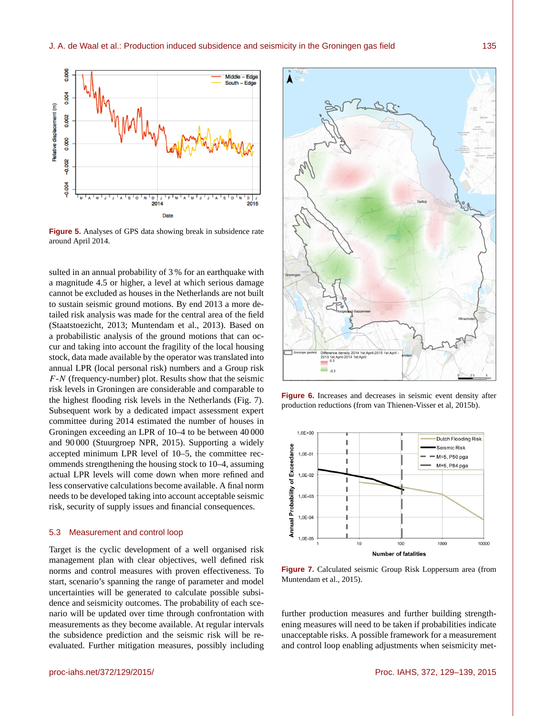

**Figure 5.** Analyses of GPS data showing break in subsidence rate around April 2014.

sulted in an annual probability of 3 % for an earthquake with a magnitude 4.5 or higher, a level at which serious damage cannot be excluded as houses in the Netherlands are not built to sustain seismic ground motions. By end 2013 a more detailed risk analysis was made for the central area of the field (Staatstoezicht, 2013; Muntendam et al., 2013). Based on a probabilistic analysis of the ground motions that can occur and taking into account the fragility of the local housing stock, data made available by the operator was translated into annual LPR (local personal risk) numbers and a Group risk  $F-N$  (frequency-number) plot. Results show that the seismic risk levels in Groningen are considerable and comparable to the highest flooding risk levels in the Netherlands (Fig. 7). Subsequent work by a dedicated impact assessment expert committee during 2014 estimated the number of houses in Groningen exceeding an LPR of 10–4 to be between 40 000 and 90 000 (Stuurgroep NPR, 2015). Supporting a widely accepted minimum LPR level of 10–5, the committee recommends strengthening the housing stock to 10–4, assuming actual LPR levels will come down when more refined and less conservative calculations become available. A final norm needs to be developed taking into account acceptable seismic risk, security of supply issues and financial consequences.

#### 5.3 Measurement and control loop

Target is the cyclic development of a well organised risk management plan with clear objectives, well defined risk norms and control measures with proven effectiveness. To start, scenario's spanning the range of parameter and model uncertainties will be generated to calculate possible subsidence and seismicity outcomes. The probability of each scenario will be updated over time through confrontation with measurements as they become available. At regular intervals the subsidence prediction and the seismic risk will be reevaluated. Further mitigation measures, possibly including



**Figure 6.** Increases and decreases in seismic event density after production reductions (from van Thienen-Visser et al, 2015b).



**Figure 7.** Calculated seismic Group Risk Loppersum area (from Muntendam et al., 2015).

further production measures and further building strengthening measures will need to be taken if probabilities indicate unacceptable risks. A possible framework for a measurement and control loop enabling adjustments when seismicity met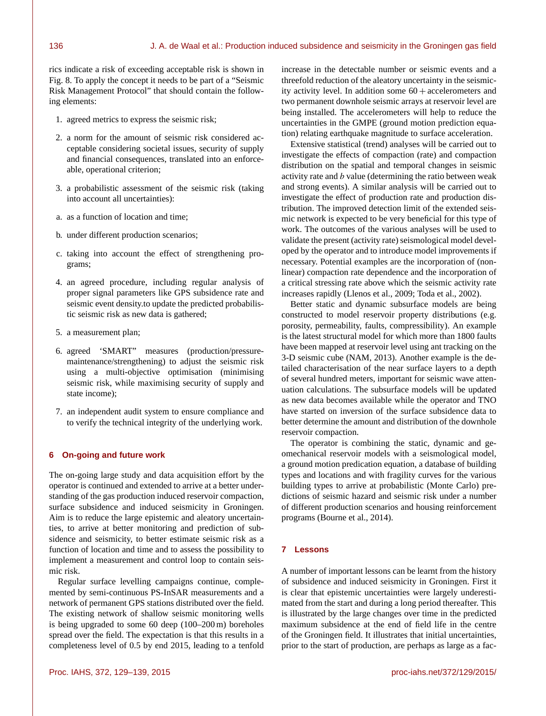rics indicate a risk of exceeding acceptable risk is shown in Fig. 8. To apply the concept it needs to be part of a "Seismic Risk Management Protocol" that should contain the following elements:

- 1. agreed metrics to express the seismic risk;
- 2. a norm for the amount of seismic risk considered acceptable considering societal issues, security of supply and financial consequences, translated into an enforceable, operational criterion;
- 3. a probabilistic assessment of the seismic risk (taking into account all uncertainties):
- a. as a function of location and time;
- b. under different production scenarios;
- c. taking into account the effect of strengthening programs;
- 4. an agreed procedure, including regular analysis of proper signal parameters like GPS subsidence rate and seismic event density.to update the predicted probabilistic seismic risk as new data is gathered;
- 5. a measurement plan;
- 6. agreed 'SMART" measures (production/pressuremaintenance/strengthening) to adjust the seismic risk using a multi-objective optimisation (minimising seismic risk, while maximising security of supply and state income);
- 7. an independent audit system to ensure compliance and to verify the technical integrity of the underlying work.

## **6 On-going and future work**

The on-going large study and data acquisition effort by the operator is continued and extended to arrive at a better understanding of the gas production induced reservoir compaction, surface subsidence and induced seismicity in Groningen. Aim is to reduce the large epistemic and aleatory uncertainties, to arrive at better monitoring and prediction of subsidence and seismicity, to better estimate seismic risk as a function of location and time and to assess the possibility to implement a measurement and control loop to contain seismic risk.

Regular surface levelling campaigns continue, complemented by semi-continuous PS-InSAR measurements and a network of permanent GPS stations distributed over the field. The existing network of shallow seismic monitoring wells is being upgraded to some 60 deep (100–200 m) boreholes spread over the field. The expectation is that this results in a completeness level of 0.5 by end 2015, leading to a tenfold increase in the detectable number or seismic events and a threefold reduction of the aleatory uncertainty in the seismicity activity level. In addition some  $60 +$  accelerometers and two permanent downhole seismic arrays at reservoir level are being installed. The accelerometers will help to reduce the uncertainties in the GMPE (ground motion prediction equation) relating earthquake magnitude to surface acceleration.

Extensive statistical (trend) analyses will be carried out to investigate the effects of compaction (rate) and compaction distribution on the spatial and temporal changes in seismic activity rate and  $b$  value (determining the ratio between weak and strong events). A similar analysis will be carried out to investigate the effect of production rate and production distribution. The improved detection limit of the extended seismic network is expected to be very beneficial for this type of work. The outcomes of the various analyses will be used to validate the present (activity rate) seismological model developed by the operator and to introduce model improvements if necessary. Potential examples are the incorporation of (nonlinear) compaction rate dependence and the incorporation of a critical stressing rate above which the seismic activity rate increases rapidly (Llenos et al., 2009; Toda et al., 2002).

Better static and dynamic subsurface models are being constructed to model reservoir property distributions (e.g. porosity, permeability, faults, compressibility). An example is the latest structural model for which more than 1800 faults have been mapped at reservoir level using ant tracking on the 3-D seismic cube (NAM, 2013). Another example is the detailed characterisation of the near surface layers to a depth of several hundred meters, important for seismic wave attenuation calculations. The subsurface models will be updated as new data becomes available while the operator and TNO have started on inversion of the surface subsidence data to better determine the amount and distribution of the downhole reservoir compaction.

The operator is combining the static, dynamic and geomechanical reservoir models with a seismological model, a ground motion predication equation, a database of building types and locations and with fragility curves for the various building types to arrive at probabilistic (Monte Carlo) predictions of seismic hazard and seismic risk under a number of different production scenarios and housing reinforcement programs (Bourne et al., 2014).

# **7 Lessons**

A number of important lessons can be learnt from the history of subsidence and induced seismicity in Groningen. First it is clear that epistemic uncertainties were largely underestimated from the start and during a long period thereafter. This is illustrated by the large changes over time in the predicted maximum subsidence at the end of field life in the centre of the Groningen field. It illustrates that initial uncertainties, prior to the start of production, are perhaps as large as a fac-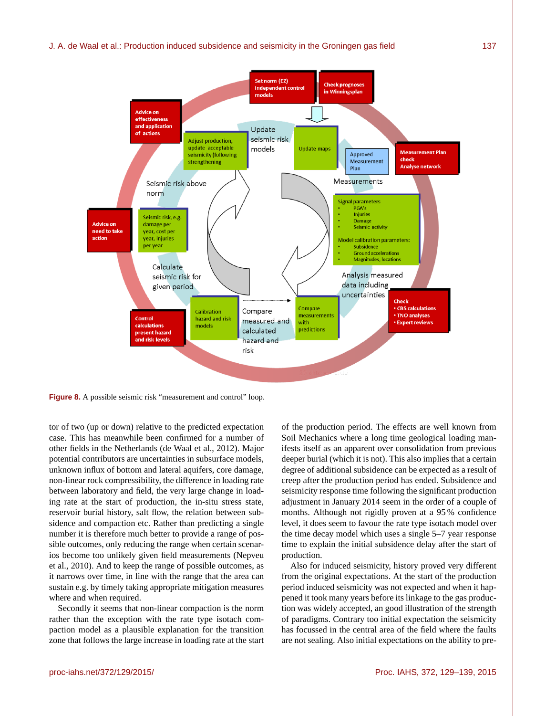## J. A. de Waal et al.: Production induced subsidence and seismicity in the Groningen gas field 137



**Figure 8.** A possible seismic risk "measurement and control" loop.

tor of two (up or down) relative to the predicted expectation case. This has meanwhile been confirmed for a number of other fields in the Netherlands (de Waal et al., 2012). Major potential contributors are uncertainties in subsurface models, unknown influx of bottom and lateral aquifers, core damage, non-linear rock compressibility, the difference in loading rate between laboratory and field, the very large change in loading rate at the start of production, the in-situ stress state, reservoir burial history, salt flow, the relation between subsidence and compaction etc. Rather than predicting a single number it is therefore much better to provide a range of possible outcomes, only reducing the range when certain scenarios become too unlikely given field measurements (Nepveu et al., 2010). And to keep the range of possible outcomes, as it narrows over time, in line with the range that the area can sustain e.g. by timely taking appropriate mitigation measures where and when required.

Secondly it seems that non-linear compaction is the norm rather than the exception with the rate type isotach compaction model as a plausible explanation for the transition zone that follows the large increase in loading rate at the start

of the production period. The effects are well known from Soil Mechanics where a long time geological loading manifests itself as an apparent over consolidation from previous deeper burial (which it is not). This also implies that a certain degree of additional subsidence can be expected as a result of creep after the production period has ended. Subsidence and seismicity response time following the significant production adjustment in January 2014 seem in the order of a couple of months. Although not rigidly proven at a 95 % confidence level, it does seem to favour the rate type isotach model over the time decay model which uses a single 5–7 year response time to explain the initial subsidence delay after the start of production.

Also for induced seismicity, history proved very different from the original expectations. At the start of the production period induced seismicity was not expected and when it happened it took many years before its linkage to the gas production was widely accepted, an good illustration of the strength of paradigms. Contrary too initial expectation the seismicity has focussed in the central area of the field where the faults are not sealing. Also initial expectations on the ability to pre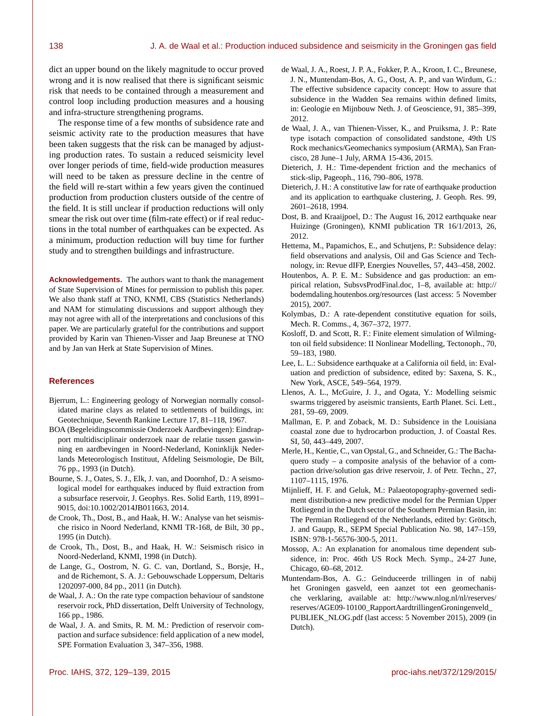dict an upper bound on the likely magnitude to occur proved wrong and it is now realised that there is significant seismic risk that needs to be contained through a measurement and control loop including production measures and a housing and infra-structure strengthening programs.

The response time of a few months of subsidence rate and seismic activity rate to the production measures that have been taken suggests that the risk can be managed by adjusting production rates. To sustain a reduced seismicity level over longer periods of time, field-wide production measures will need to be taken as pressure decline in the centre of the field will re-start within a few years given the continued production from production clusters outside of the centre of the field. It is still unclear if production reductions will only smear the risk out over time (film-rate effect) or if real reductions in the total number of earthquakes can be expected. As a minimum, production reduction will buy time for further study and to strengthen buildings and infrastructure.

**Acknowledgements.** The authors want to thank the management of State Supervision of Mines for permission to publish this paper. We also thank staff at TNO, KNMI, CBS (Statistics Netherlands) and NAM for stimulating discussions and support although they may not agree with all of the interpretations and conclusions of this paper. We are particularly grateful for the contributions and support provided by Karin van Thienen-Visser and Jaap Breunese at TNO and by Jan van Herk at State Supervision of Mines.

#### **References**

- Bjerrum, L.: Engineering geology of Norwegian normally consolidated marine clays as related to settlements of buildings, in: Geotechnique, Seventh Rankine Lecture 17, 81–118, 1967.
- BOA (Begeleidingscommissie Onderzoek Aardbevingen): Eindrapport multidisciplinair onderzoek naar de relatie tussen gaswinning en aardbevingen in Noord-Nederland, Koninklijk Nederlands Meteorologisch Instituut, Afdeling Seismologie, De Bilt, 76 pp., 1993 (in Dutch).
- Bourne, S. J., Oates, S. J., Elk, J. van, and Doornhof, D.: A seismological model for earthquakes induced by fluid extraction from a subsurface reservoir, J. Geophys. Res. Solid Earth, 119, 8991– 9015, doi[:10.1002/2014JB011663,](http://dx.doi.org/10.1002/2014JB011663) 2014.
- de Crook, Th., Dost, B., and Haak, H. W.: Analyse van het seismische risico in Noord Nederland, KNMI TR-168, de Bilt, 30 pp., 1995 (in Dutch).
- de Crook, Th., Dost, B., and Haak, H. W.: Seismisch risico in Noord-Nederland, KNMI, 1998 (in Dutch).
- de Lange, G., Oostrom, N. G. C. van, Dortland, S., Borsje, H., and de Richemont, S. A. J.: Gebouwschade Loppersum, Deltaris 1202097-000, 84 pp., 2011 (in Dutch).
- de Waal, J. A.: On the rate type compaction behaviour of sandstone reservoir rock, PhD dissertation, Delft University of Technology, 166 pp., 1986.
- de Waal, J. A. and Smits, R. M. M.: Prediction of reservoir compaction and surface subsidence: field application of a new model, SPE Formation Evaluation 3, 347–356, 1988.
- de Waal, J. A., Roest, J. P. A., Fokker, P. A., Kroon, I. C., Breunese, J. N., Muntendam-Bos, A. G., Oost, A. P., and van Wirdum, G.: The effective subsidence capacity concept: How to assure that subsidence in the Wadden Sea remains within defined limits, in: Geologie en Mijnbouw Neth. J. of Geoscience, 91, 385–399, 2012.
- de Waal, J. A., van Thienen-Visser, K., and Pruiksma, J. P.: Rate type isotach compaction of consolidated sandstone, 49th US Rock mechanics/Geomechanics symposium (ARMA), San Francisco, 28 June–1 July, ARMA 15-436, 2015.
- Dieterich, J. H.: Time-dependent friction and the mechanics of stick-slip, Pageoph., 116, 790–806, 1978.
- Dieterich, J. H.: A constitutive law for rate of earthquake production and its application to earthquake clustering, J. Geoph. Res. 99, 2601–2618, 1994.
- Dost, B. and Kraaijpoel, D.: The August 16, 2012 earthquake near Huizinge (Groningen), KNMI publication TR 16/1/2013, 26, 2012.
- Hettema, M., Papamichos, E., and Schutjens, P.: Subsidence delay: field observations and analysis, Oil and Gas Science and Technology, in: Revue dIFP, Energies Nouvelles, 57, 443–458, 2002.
- Houtenbos, A. P. E. M.: Subsidence and gas production: an empirical relation, SubsvsProdFinal.doc, 1–8, available at: [http://](http://bodemdaling.houtenbos.org/resources) [bodemdaling.houtenbos.org/resources](http://bodemdaling.houtenbos.org/resources) (last access: 5 November 2015), 2007.
- Kolymbas, D.: A rate-dependent constitutive equation for soils, Mech. R. Comms., 4, 367–372, 1977.
- Kosloff, D. and Scott, R. F.: Finite element simulation of Wilmington oil field subsidence: II Nonlinear Modelling, Tectonoph., 70, 59–183, 1980.
- Lee, L. L.: Subsidence earthquake at a California oil field, in: Evaluation and prediction of subsidence, edited by: Saxena, S. K., New York, ASCE, 549–564, 1979.
- Llenos, A. L., McGuire, J. J., and Ogata, Y.: Modelling seismic swarms triggered by aseismic transients, Earth Planet. Sci. Lett., 281, 59–69, 2009.
- Mallman, E. P. and Zoback, M. D.: Subsidence in the Louisiana coastal zone due to hydrocarbon production, J. of Coastal Res. SI, 50, 443–449, 2007.
- Merle, H., Kentie, C., van Opstal, G., and Schneider, G.: The Bachaquero study – a composite analysis of the behavior of a compaction drive/solution gas drive reservoir, J. of Petr. Techn., 27, 1107–1115, 1976.
- Mijnlieff, H. F. and Geluk, M.: Palaeotopography-governed sediment distribution-a new predictive model for the Permian Upper Rotliegend in the Dutch sector of the Southern Permian Basin, in: The Permian Rotliegend of the Netherlands, edited by: Grötsch, J. and Gaupp, R., SEPM Special Publication No. 98, 147–159, ISBN: 978-1-56576-300-5, 2011.
- Mossop, A.: An explanation for anomalous time dependent subsidence, in: Proc. 46th US Rock Mech. Symp., 24-27 June, Chicago, 60–68, 2012.
- Muntendam-Bos, A. G.: Geïnduceerde trillingen in of nabij het Groningen gasveld, een aanzet tot een geomechanische verklaring, available at: [http://www.nlog.nl/nl/reserves/](http://www.nlog.nl/nl/reserves/reserves/AGE 09-10 100_Rapport Aardtrillingen Groningenveld_PUBLIEK_NLOG.pdf) [reserves/AGE09-10100\\_RapportAardtrillingenGroningenveld\\_](http://www.nlog.nl/nl/reserves/reserves/AGE 09-10 100_Rapport Aardtrillingen Groningenveld_PUBLIEK_NLOG.pdf) [PUBLIEK\\_NLOG.pdf](http://www.nlog.nl/nl/reserves/reserves/AGE 09-10 100_Rapport Aardtrillingen Groningenveld_PUBLIEK_NLOG.pdf) (last access: 5 November 2015), 2009 (in Dutch).